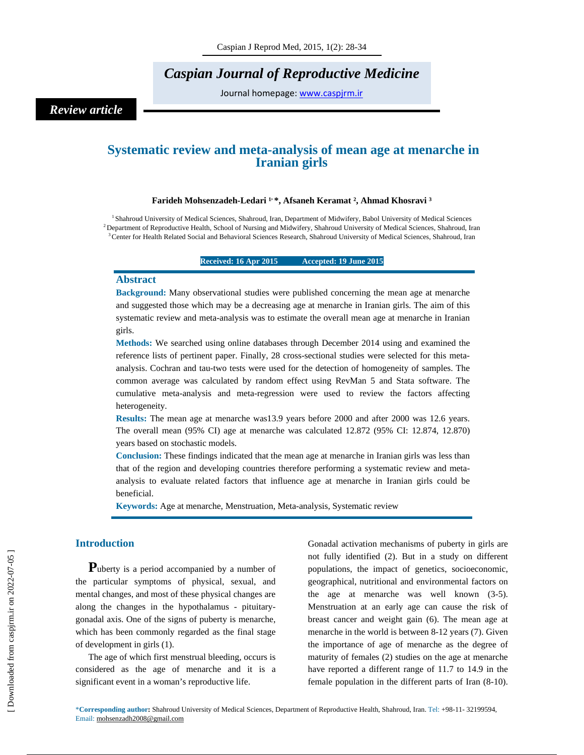# *Caspian Journal of Reproductive Medicine*

Journal homepage: www.caspjrm.ir

# *Review article*

# **Systematic review and meta-analysis of mean age at menarche in Iranian girls**

#### Farideh Mohsenzadeh-Ledari <sup>1, \*</sup>, Afsaneh Keramat <sup>2</sup>, Ahmad Khosravi <sup>3</sup>

<sup>1</sup> Shahroud University of Medical Sciences, Shahroud, Iran, Department of Midwifery, Babol University of Medical Sciences<sup>2</sup> Department of Reproductive Health, School of Nursing and Midwifery, Shahroud University of Medic <sup>3</sup> Center for Health Related Social and Behavioral Sciences Research, Shahroud University of Medical Sciences, Shahroud, Iran

**Received: 16 Apr 2015 Accepted: 19 June 2015**

#### **Abstract**

**Background:** Many observational studies were published concerning the mean age at menarche and suggested those which may be a decreasing age at menarche in Iranian girls. The aim of this systematic review and meta-analysis was to estimate the overall mean age at menarche in Iranian girls.

**Methods:** We searched using online databases through December 2014 using and examined the reference lists of pertinent paper. Finally, 28 cross-sectional studies were selected for this metaanalysis. Cochran and tau-two tests were used for the detection of homogeneity of samples. The common average was calculated by random effect using RevMan 5 and Stata software. The cumulative meta-analysis and meta-regression were used to review the factors affecting heterogeneity.

**Results:** The mean age at menarche was13.9 years before 2000 and after 2000 was 12.6 years. The overall mean (95% CI) age at menarche was calculated 12.872 (95% CI: 12.874, 12.870) years based on stochastic models.

**Conclusion:** These findings indicated that the mean age at menarche in Iranian girls was less than that of the region and developing countries therefore performing a systematic review and metaanalysis to evaluate related factors that influence age at menarche in Iranian girls could be beneficial.

**Keywords:** Age at menarche, Menstruation, Meta-analysis, Systematic review

### **Introduction**

Puberty is a period accompanied by a number of the particular symptoms of physical, sexual, and mental changes, and most of these physical changes are along the changes in the hypothalamus - pituitarygonadal axis. One of the signs of puberty is menarche, which has been commonly regarded as the final stage of development in girls (1).

The age of which first menstrual bleeding, occurs is considered as the age of menarche and it is a significant event in a woman's reproductive life.

Gonadal activation mechanisms of puberty in girls are not fully identified (2). But in a study on different populations, the impact of genetics, socioeconomic, geographical, nutritional and environmental factors on the age at menarche was well known (3-5). Menstruation at an early age can cause the risk of breast cancer and weight gain (6). The mean age at menarche in the world is between 8-12 years (7). Given the importance of age of menarche as the degree of maturity of females (2) studies on the age at menarche have reported a different range of 11.7 to 14.9 in the female population in the different parts of Iran (8-10).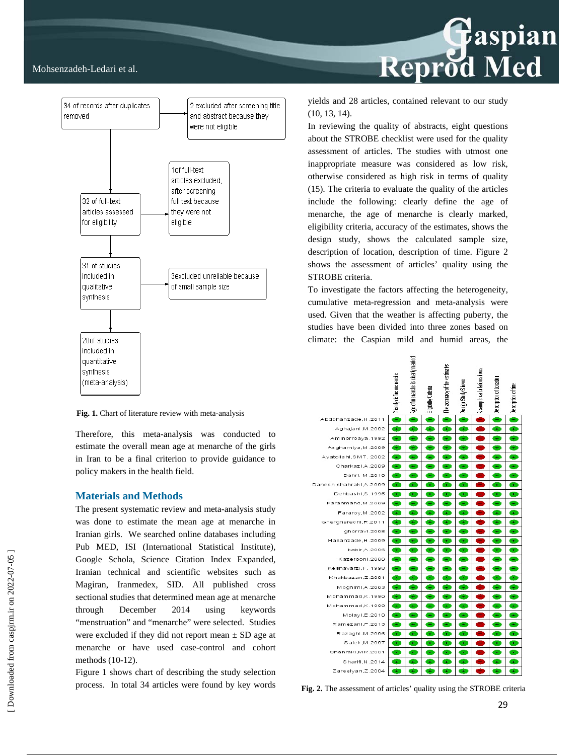#### Mohsenzadeh-Ledari et al.



**Fig. 1.** Chart of literature review with meta-analysis

Therefore, this meta-analysis was conducted to estimate the overall mean age at menarche of the girls in Iran to be a final criterion to provide guidance to policy makers in the health field.

#### **Materials and Methods**

The present systematic review and meta-analysis study was done to estimate the mean age at menarche in Iranian girls. We searched online databases including Pub MED, ISI (International Statistical Institute), Google Schola, Science Citation Index Expanded, Iranian technical and scientific websites such as Magiran, Iranmedex, SID. All published cross sectional studies that determined mean age at menarche through December 2014 using keywords "menstruation" and "menarche" were selected. Studies were excluded if they did not report mean  $\pm$  SD age at menarche or have used case-control and cohort methods (10-12).

Figure 1 shows chart of describing the study selection process. In total 34 articles were found by key words yields and 28 articles, contained relevant to our study (10, 13, 14).

Reprod Med

In reviewing the quality of abstracts, eight questions about the STROBE checklist were used for the quality assessment of articles. The studies with utmost one inappropriate measure was considered as low risk, otherwise considered as high risk in terms of quality (15). The criteria to evaluate the quality of the articles include the following: clearly define the age of menarche, the age of menarche is clearly marked, eligibility criteria, accuracy of the estimates, shows the design study, shows the calculated sample size, description of location, description of time. Figure 2 shows the assessment of articles' quality using the STROBE criteria.

To investigate the factors affecting the heterogeneity, cumulative meta-regression and meta-analysis were used. Given that the weather is affecting puberty, the studies have been divided into three zones based on climate: the Caspian mild and humid areas, the



**Fig. 2.** The assessment of articles' quality using the STROBE criteria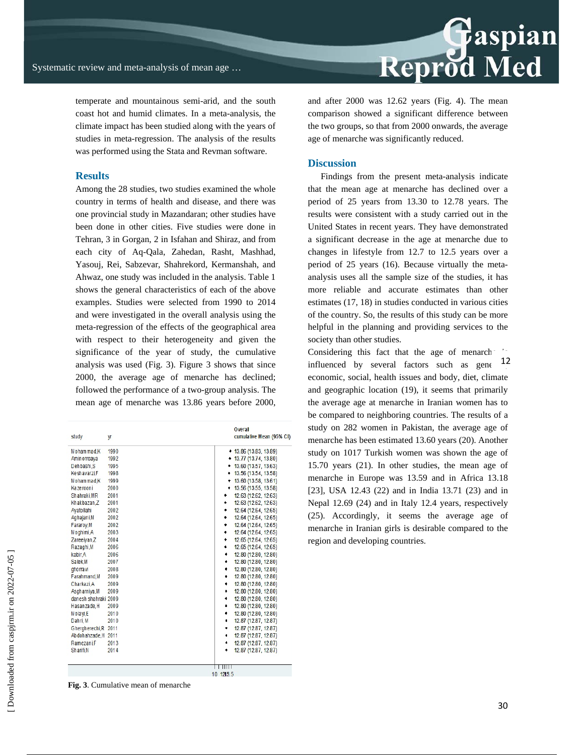

temperate and mountainous semi-arid, and the south coast hot and humid climates. In a meta-analysis, the climate impact has been studied along with the years of studies in meta-regression. The analysis of the results was performed using the Stata and Revman software.

#### **Results**

Among the 28 studies, two studies examined the whole country in terms of health and disease, and there was one provincial study in Mazandaran; other studies have been done in other cities. Five studies were done in Tehran, 3 in Gorgan, 2 in Isfahan and Shiraz, and from each city of Aq-Qala, Zahedan, Rasht, Mashhad, Yasouj, Rei, Sabzevar, Shahrekord, Kermanshah, and Ahwaz, one study was included in the analysis. Table 1 shows the general characteristics of each of the above examples. Studies were selected from 1990 to 2014 and were investigated in the overall analysis using the meta-regression of the effects of the geographical area with respect to their heterogeneity and given the significance of the year of study, the cumulative analysis was used (Fig. 3). Figure 3 shows that since 2000, the average age of menarche has declined; followed the performance of a two-group analysis. The mean age of menarche was 13.86 years before 2000,

|                          |      | Overall                        |  |  |  |
|--------------------------|------|--------------------------------|--|--|--|
| study                    | VT   | cumulative Mean (95% CI)       |  |  |  |
| Mohammad.K               | 1990 | $*$ 13.86 (13.83, 13.89)       |  |  |  |
| Aminorroaya              | 1992 | $\bullet$ 13.77 (13.74, 13.80) |  |  |  |
| Dehbashi.S               | 1995 | $\bullet$ 13.60 (13.57, 13.63) |  |  |  |
| Keshavarzi, F            | 1998 | $\bullet$ 13.56 (13.54, 13.58) |  |  |  |
| Mohammad.K               | 1999 | $+$ 13.60 (13.58, 13.61)       |  |  |  |
| <b>Kazerooni</b>         | 2000 | $\bullet$ 13.56 (13.55, 13.58) |  |  |  |
| Shahraki, MR             | 2001 | 12.63 (12.62, 12.63)<br>٠      |  |  |  |
| Khakbazan.Z              | 2001 | 12.63 (12.62, 12.63)<br>٠      |  |  |  |
| Avatollahi               | 2002 | 12.64 (12.64, 12.65)<br>٠      |  |  |  |
| Aghajani, M              | 2002 | 12.64 (12.64, 12.65)<br>٠      |  |  |  |
| Fararov.M                | 2002 | 12.64 (12.64, 12.65)<br>٠      |  |  |  |
| Moghimi, A               | 2003 | 12.64 (12.64, 12.65)<br>٠      |  |  |  |
| Zareeivan <sub>.</sub> Z | 2004 | ٠<br>12.65 (12.64, 12.65)      |  |  |  |
| Razaghi, M               | 2006 | 12.65 (12.64, 12.65)<br>٠      |  |  |  |
| kabir.A                  | 2006 | 12.80 (12.80, 12.80)<br>٠      |  |  |  |
| Salek.M                  | 2007 | 12.80 (12.80, 12.80)<br>۰      |  |  |  |
| ghorra vi                | 2008 | ٠<br>12.80 (12.80, 12.80)      |  |  |  |
| Farahmand,M              | 2009 | 12.80 (12.80, 12.80)<br>٠      |  |  |  |
| Charkazi, A              | 2009 | 12.80 (12.80, 12.80)<br>٠      |  |  |  |
| Ascharniva, M            | 2009 | 12.80 (12.80, 12.80)<br>٠      |  |  |  |
| danesh shahraki 2009     |      | 12.80 (12.80, 12.80)<br>٠      |  |  |  |
| Hasanzade, H             | 2009 | 12.80 (12.80, 12.80)<br>۰      |  |  |  |
| Molayi, E                | 2010 | 12.80 (12.80, 12.80)<br>٠      |  |  |  |
| Dahri, M                 | 2010 | 12.87 (12.87, 12.87)<br>٠      |  |  |  |
| Ghergherechi, R 2011     |      | 12.87 (12.87, 12.87)<br>٠      |  |  |  |
| Abdohahzade, H 2011      |      | 12.87 (12.87, 12.87)<br>٠      |  |  |  |
| Ramezani.F               | 2013 | 12.87 (12.87, 12.87)<br>٠      |  |  |  |
| Sharifi.N                | 2014 | 12.87 (12.87, 12.87)<br>٠      |  |  |  |
|                          |      | <u> Film</u>                   |  |  |  |
|                          |      | 10 1215.5                      |  |  |  |

**Fig. 3**. Cumulative mean of menarche

and after 2000 was 12.62 years (Fig. 4). The mean comparison showed a significant difference between the two groups, so that from 2000 onwards, the average age of menarche was significantly reduced.

#### **Discussion**

Findings from the present meta-analysis indicate that the mean age at menarche has declined over a period of 25 years from 13.30 to 12.78 years. The results were consistent with a study carried out in the United States in recent years. They have demonstrated a significant decrease in the age at menarche due to changes in lifestyle from 12.7 to 12.5 years over a period of 25 years (16). Because virtually the metaanalysis uses all the sample size of the studies, it has more reliable and accurate estimates than other estimates (17, 18) in studies conducted in various cities of the country. So, the results of this study can be more helpful in the planning and providing services to the society than other studies.

Considering this fact that the age of menarch influenced by several factors such as gene economic, social, health issues and body, diet, climate and geographic location (19), it seems that primarily the average age at menarche in Iranian women has to be compared to neighboring countries. The results of a study on 282 women in Pakistan, the average age of menarche has been estimated 13.60 years (20). Another study on 1017 Turkish women was shown the age of 15.70 years (21). In other studies, the mean age of menarche in Europe was 13.59 and in Africa 13.18 [23], USA 12.43 (22) and in India 13.71 (23) and in Nepal 12.69 (24) and in Italy 12.4 years, respectively (25). Accordingly, it seems the average age of menarche in Iranian girls is desirable compared to the region and developing countries. 12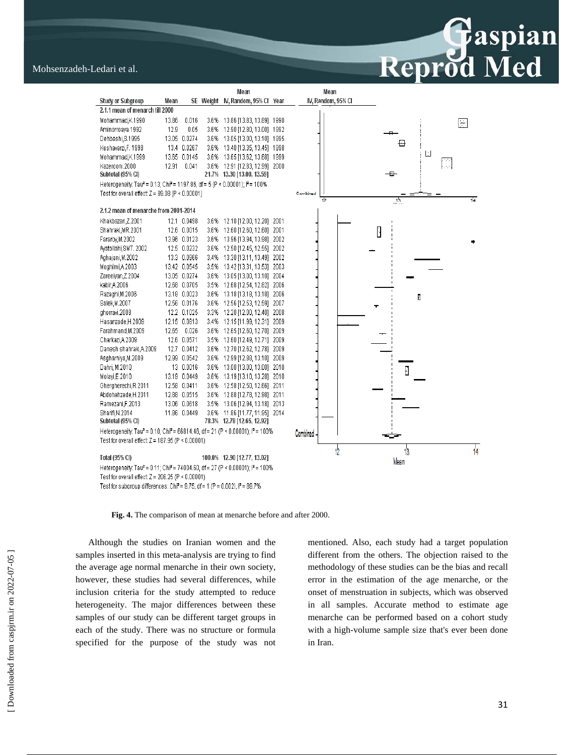## Mohsenzadeh-Ledari et al.



|                                                                                                                           | Mean  |              |  | Mean                                                             |  |                    |    |                |
|---------------------------------------------------------------------------------------------------------------------------|-------|--------------|--|------------------------------------------------------------------|--|--------------------|----|----------------|
| <b>Study or Subgroup</b>                                                                                                  | Mean  |              |  | SE Weight IV, Random, 95% Cl Year                                |  | IV, Random, 95% CI |    |                |
| 2.1.1 mean of menarch till 2000                                                                                           |       |              |  |                                                                  |  |                    |    |                |
| Mohammad, K.1990                                                                                                          | 13.86 | 0.016        |  | 3.6% 13.86 [13.83, 13.89] 1990                                   |  |                    | 医  |                |
| Aminorroaya.1992                                                                                                          | 12.9  | 0.05         |  | 3.6% 12.90 [12.80, 13.00] 1992                                   |  |                    |    |                |
| Dehbashi, S.1995                                                                                                          |       | 13.05 0.0274 |  | 3.6% 13.05 [13.00, 13.10] 1995                                   |  |                    | ⊟  |                |
| Keshavarzi, F. 1998                                                                                                       |       | 13.4 0.0267  |  | 3.6% 13.40 [13.35, 13.45] 1998                                   |  |                    |    |                |
| Mohammad, K.1999                                                                                                          |       | 13.65 0.0145 |  | 3.6% 13.65 [13.62, 13.68] 1999                                   |  |                    | 廿  |                |
| Kazerooni.2000                                                                                                            | 12.91 | 0.041        |  | 3.6% 12.91 [12.83, 12.99] 2000                                   |  |                    | 圖  |                |
| Subtotal (95% CI)                                                                                                         |       |              |  | 21.7% 13.30 [13.00, 13.59]                                       |  |                    | ⊕  |                |
| Heterogeneity: Tau <sup>2</sup> = 0.13; Chi <sup>2</sup> = 1197.86, df = 5 (P < 0.00001); i <sup>2</sup> = 100%           |       |              |  |                                                                  |  |                    |    |                |
| Test for overall effect: $Z = 89.08$ (P < 0.00001)                                                                        |       |              |  |                                                                  |  | Combined<br>Đ      |    | 14             |
| 2.1.2 mean of menarche from 2001-2014                                                                                     |       |              |  |                                                                  |  |                    | یل |                |
| Khakbazan, Z. 2001                                                                                                        |       | 12.1 0.0498  |  | 3.6% 12.10 [12.00, 12.20] 2001                                   |  |                    |    |                |
|                                                                                                                           |       | 12.6 0.0015  |  |                                                                  |  |                    |    |                |
| Shahraki, MR. 2001<br>Fararoy, M.2002                                                                                     |       | 13.96 0.0123 |  | 3.6% 12.60 [12.60, 12.60] 2001                                   |  |                    | ŀ  |                |
| Ayatollahi, SMT. 2002                                                                                                     |       | 12.5 0.0232  |  | 3.6% 13.96 [13.94, 13.98] 2002<br>3.6% 12.50 [12.45, 12.55] 2002 |  |                    |    |                |
| Aghajani, M.2002                                                                                                          |       | 13.3 0.0966  |  | 3.4% 13.30 [13.11, 13.49] 2002                                   |  |                    |    |                |
| Moghimi, A.2003                                                                                                           |       | 13.42 0.0545 |  | 3.5% 13.42 [13.31, 13.53] 2003                                   |  |                    |    |                |
| Zareeiyan, Z. 2004                                                                                                        |       | 13.05 0.0274 |  | 3.6% 13.05 [13.00, 13.10] 2004                                   |  |                    |    |                |
| kabir, A. 2006                                                                                                            |       | 12.68 0.0705 |  | 3.5% 12.68 [12.54, 12.82] 2006                                   |  |                    |    |                |
| Razaghi, M.2006                                                                                                           |       | 13.18 0.0023 |  | 3.6% 13.18 [13.18, 13.18] 2006                                   |  |                    |    |                |
| Salek, M.2007                                                                                                             |       | 12.56 0.0176 |  | 3.6% 12.56 [12.53, 12.59] 2007                                   |  |                    | Ø  |                |
| ghorravi.2008                                                                                                             |       | 12.2 0.1025  |  | 3.3% 12.20 [12.00, 12.40] 2008                                   |  |                    |    |                |
| Hasanzade, H.2009                                                                                                         |       | 12.15 0.0813 |  | 3.4% 12.15 [11.99, 12.31] 2009                                   |  |                    |    |                |
| Farahmand,M.2009                                                                                                          | 12.65 | 0.026        |  | 3.6% 12.65 [12.60, 12.70] 2009                                   |  |                    |    |                |
| Charkazi, A.2009                                                                                                          |       | 12.6 0.0571  |  | 3.5% 12.60 [12.49, 12.71] 2009                                   |  |                    |    |                |
| Danesh shahraki, A.2009                                                                                                   |       | 12.7 0.0412  |  | 3.6% 12.70 [12.62, 12.78] 2009                                   |  |                    |    |                |
| Asgharniya, M.2009                                                                                                        |       | 12.99 0.0542 |  | 3.6% 12.99 [12.88, 13.10] 2009                                   |  |                    |    |                |
| Dahri, M.2010                                                                                                             |       | 13 0.0016    |  | 3.6% 13.00 [13.00, 13.00] 2010                                   |  |                    | П  |                |
| Molayi, E.2010                                                                                                            |       | 13.19 0.0449 |  | 3.6% 13.19 [13.10, 13.28] 2010                                   |  |                    |    |                |
| Ghergherechi, R.2011                                                                                                      |       | 12.58 0.0411 |  | 3.6% 12.58 [12.50, 12.66] 2011                                   |  |                    |    |                |
| Abdohahzade, H.2011                                                                                                       |       | 12.88 0.0515 |  | 3.6% 12.88 [12.78, 12.98] 2011                                   |  |                    |    |                |
| Ramezani, F. 2013                                                                                                         |       | 13.06 0.0618 |  | 3.5% 13.06 [12.94, 13.18] 2013                                   |  |                    |    |                |
| Sharifi, N.2014                                                                                                           |       | 11.86 0.0449 |  | 3.6% 11.86 [11.77, 11.95] 2014                                   |  |                    |    |                |
| Subtotal (95% CI)                                                                                                         |       |              |  | 78.3% 12.78 [12.65, 12.92]                                       |  |                    |    |                |
| Heterogeneity: Tau <sup>2</sup> = 0.10; Chi <sup>2</sup> = 66814.46, df = 21 (P < 0.00001); i <sup>2</sup> = 100%         |       |              |  |                                                                  |  | <b>Combined</b>    |    |                |
| Test for overall effect: $Z = 187.95$ (P < 0.00001)                                                                       |       |              |  |                                                                  |  |                    |    |                |
| <b>Total (95% CI)</b>                                                                                                     |       |              |  | 100.0% 12.90 [12.77, 13.02]                                      |  | 12                 | 13 | $\frac{1}{14}$ |
| Meen<br>Heterogeneity: Tau <sup>2</sup> = 0.11; Chi <sup>2</sup> = 74004.60, df = 27 (P < 0.00001); i <sup>2</sup> = 100% |       |              |  |                                                                  |  |                    |    |                |
| Test for overall effect: $Z = 206.25$ (P < 0.00001)                                                                       |       |              |  |                                                                  |  |                    |    |                |

**Fig. 4.** The comparison of mean at menarche before and after 2000.

Although the studies on Iranian women and the samples inserted in this meta-analysis are trying to find the average age normal menarche in their own society, however, these studies had several differences, while inclusion criteria for the study attempted to reduce heterogeneity. The major differences between these samples of our study can be different target groups in each of the study. There was no structure or formula specified for the purpose of the study was not

Test for subgroup differences: Chi<sup>2</sup> = 9.75, df = 1 (P = 0.002), l<sup>2</sup> = 89.7%

mentioned. Also, each study had a target population different from the others. The objection raised to the methodology of these studies can be the bias and recall error in the estimation of the age menarche, or the onset of menstruation in subjects, which was observed in all samples. Accurate method to estimate age menarche can be performed based on a cohort study with a high-volume sample size that's ever been done in Iran.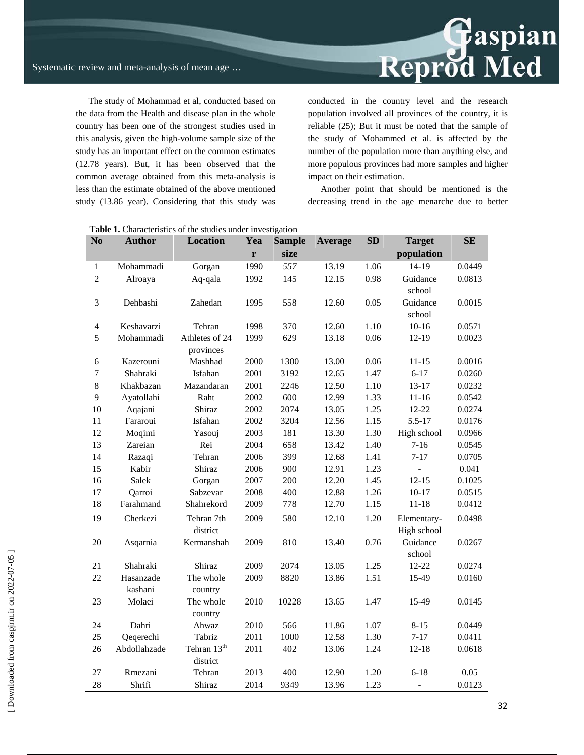The study of Mohammad et al, conducted based on the data from the Health and disease plan in the whole country has been one of the strongest studies used in this analysis, given the high-volume sample size of the study has an important effect on the common estimates (12.78 years). But, it has been observed that the common average obtained from this meta-analysis is less than the estimate obtained of the above mentioned study (13.86 year). Considering that this study was conducted in the country level and the research population involved all provinces of the country, it is reliable (25); But it must be noted that the sample of the study of Mohammed et al. is affected by the number of the population more than anything else, and more populous provinces had more samples and higher impact on their estimation.

Another point that should be mentioned is the decreasing trend in the age menarche due to better

|                  |               | <b>rapic 1.</b> Characteristics of the studies under investigation |      |               |                |      |               |           |
|------------------|---------------|--------------------------------------------------------------------|------|---------------|----------------|------|---------------|-----------|
| N <sub>o</sub>   | <b>Author</b> | Location                                                           | Yea  | <b>Sample</b> | <b>Average</b> | SD   | <b>Target</b> | <b>SE</b> |
|                  |               |                                                                    | r    | size          |                |      | population    |           |
| $\mathbf{1}$     | Mohammadi     | Gorgan                                                             | 1990 | 557           | 13.19          | 1.06 | 14-19         | 0.0449    |
| $\overline{2}$   | Alroaya       | Aq-qala                                                            | 1992 | 145           | 12.15          | 0.98 | Guidance      | 0.0813    |
|                  |               |                                                                    |      |               |                |      | school        |           |
| 3                | Dehbashi      | Zahedan                                                            | 1995 | 558           | 12.60          | 0.05 | Guidance      | 0.0015    |
|                  |               |                                                                    |      |               |                |      | school        |           |
| $\overline{4}$   | Keshavarzi    | Tehran                                                             | 1998 | 370           | 12.60          | 1.10 | $10-16$       | 0.0571    |
| 5                | Mohammadi     | Athletes of 24                                                     | 1999 | 629           | 13.18          | 0.06 | $12-19$       | 0.0023    |
|                  |               | provinces                                                          |      |               |                |      |               |           |
| $\sqrt{6}$       | Kazerouni     | Mashhad                                                            | 2000 | 1300          | 13.00          | 0.06 | $11 - 15$     | 0.0016    |
| $\boldsymbol{7}$ | Shahraki      | Isfahan                                                            | 2001 | 3192          | 12.65          | 1.47 | $6 - 17$      | 0.0260    |
| $\,8\,$          | Khakbazan     | Mazandaran                                                         | 2001 | 2246          | 12.50          | 1.10 | 13-17         | 0.0232    |
| 9                | Ayatollahi    | Raht                                                               | 2002 | 600           | 12.99          | 1.33 | $11 - 16$     | 0.0542    |
| 10               | Aqajani       | Shiraz                                                             | 2002 | 2074          | 13.05          | 1.25 | 12-22         | 0.0274    |
| $11\,$           | Fararoui      | Isfahan                                                            | 2002 | 3204          | 12.56          | 1.15 | $5.5 - 17$    | 0.0176    |
| 12               | Moqimi        | Yasouj                                                             | 2003 | 181           | 13.30          | 1.30 | High school   | 0.0966    |
| 13               | Zareian       | Rei                                                                | 2004 | 658           | 13.42          | 1.40 | $7 - 16$      | 0.0545    |
| 14               | Razaqi        | Tehran                                                             | 2006 | 399           | 12.68          | 1.41 | $7 - 17$      | 0.0705    |
| 15               | Kabir         | Shiraz                                                             | 2006 | 900           | 12.91          | 1.23 | $\frac{1}{2}$ | 0.041     |
| 16               | Salek         | Gorgan                                                             | 2007 | 200           | 12.20          | 1.45 | $12 - 15$     | 0.1025    |
| 17               | Qarroi        | Sabzevar                                                           | 2008 | 400           | 12.88          | 1.26 | $10-17$       | 0.0515    |
| 18               | Farahmand     | Shahrekord                                                         | 2009 | 778           | 12.70          | 1.15 | $11 - 18$     | 0.0412    |
| 19               | Cherkezi      | Tehran 7th                                                         | 2009 | 580           | 12.10          | 1.20 | Elementary-   | 0.0498    |
|                  |               | district                                                           |      |               |                |      | High school   |           |
| 20               | Asqarnia      | Kermanshah                                                         | 2009 | 810           | 13.40          | 0.76 | Guidance      | 0.0267    |
|                  |               |                                                                    |      |               |                |      | school        |           |
| 21               | Shahraki      | Shiraz                                                             | 2009 | 2074          | 13.05          | 1.25 | 12-22         | 0.0274    |
| 22               | Hasanzade     | The whole                                                          | 2009 | 8820          | 13.86          | 1.51 | 15-49         | 0.0160    |
|                  | kashani       | country                                                            |      |               |                |      |               |           |
| 23               | Molaei        | The whole                                                          | 2010 | 10228         | 13.65          | 1.47 | 15-49         | 0.0145    |
|                  |               | country                                                            |      |               |                |      |               |           |
| 24               | Dahri         | Ahwaz                                                              | 2010 | 566           | 11.86          | 1.07 | $8 - 15$      | 0.0449    |
| 25               | Qeqerechi     | Tabriz                                                             | 2011 | 1000          | 12.58          | 1.30 | $7 - 17$      | 0.0411    |
| 26               | Abdollahzade  | Tehran 13 <sup>th</sup>                                            | 2011 | 402           | 13.06          | 1.24 | $12 - 18$     | 0.0618    |
|                  |               | district                                                           |      |               |                |      |               |           |
| 27               | Rmezani       | Tehran                                                             | 2013 | 400           | 12.90          | 1.20 | $6 - 18$      | 0.05      |
| 28               | Shrifi        | Shiraz                                                             | 2014 | 9349          | 13.96          | 1.23 |               | 0.0123    |

#### **Table 1.** Characteristics of the studies under investigation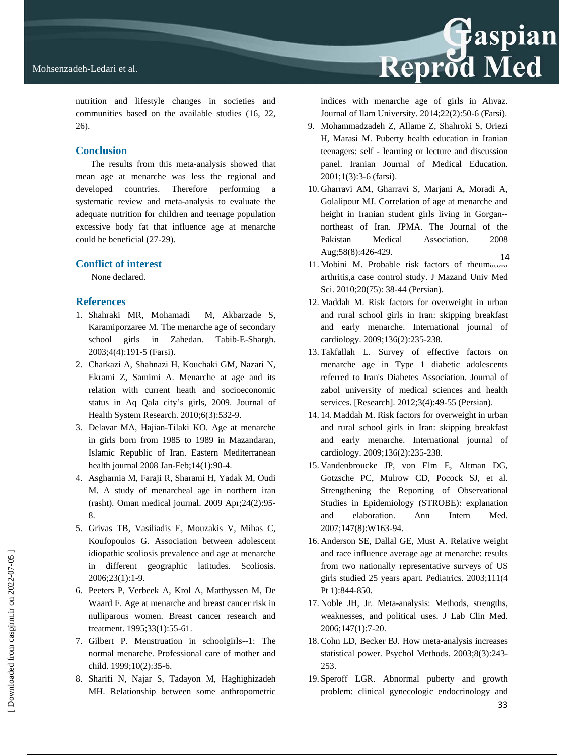nutrition and lifestyle changes in societies and communities based on the available studies (16, 22, 26).

#### **Conclusion**

The results from this meta-analysis showed that mean age at menarche was less the regional and developed countries. Therefore performing a systematic review and meta-analysis to evaluate the adequate nutrition for children and teenage population excessive body fat that influence age at menarche could be beneficial (27-29).

#### **Conflict of interest**

None declared.

#### **References**

- 1. Shahraki MR, Mohamadi M, Akbarzade S, Karamiporzaree M. The menarche age of secondary school girls in Zahedan. Tabib-E-Shargh. 2003;4(4):191-5 (Farsi).
- 2. Charkazi A, Shahnazi H, Kouchaki GM, Nazari N, Ekrami Z, Samimi A. Menarche at age and its relation with current heath and socioeconomic status in Aq Qala city's girls, 2009. Journal of Health System Research. 2010;6(3):532-9.
- 3. Delavar MA, Hajian-Tilaki KO. Age at menarche in girls born from 1985 to 1989 in Mazandaran, Islamic Republic of Iran. Eastern Mediterranean health journal 2008 Jan-Feb;14(1):90-4.
- 4. Asgharnia M, Faraji R, Sharami H, Yadak M, Oudi M. A study of menarcheal age in northern iran (rasht). Oman medical journal. 2009 Apr;24(2):95- 8.
- 5. Grivas TB, Vasiliadis E, Mouzakis V, Mihas C, Koufopoulos G. Association between adolescent idiopathic scoliosis prevalence and age at menarche in different geographic latitudes. Scoliosis. 2006;23(1):1-9.
- 6. Peeters P, Verbeek A, Krol A, Matthyssen M, De Waard F. Age at menarche and breast cancer risk in nulliparous women. Breast cancer research and treatment. 1995;33(1):55-61.
- 7. Gilbert P. Menstruation in schoolgirls--1: The normal menarche. Professional care of mother and child. 1999;10(2):35-6.
- 8. Sharifi N, Najar S, Tadayon M, Haghighizadeh MH. Relationship between some anthropometric

indices with menarche age of girls in Ahvaz. Journal of Ilam University. 2014;22(2):50-6 (Farsi).

Reprod Med

- 9. Mohammadzadeh Z, Allame Z, Shahroki S, Oriezi H, Marasi M. Puberty health education in Iranian teenagers: self - learning or lecture and discussion panel. Iranian Journal of Medical Education. 2001;1(3):3-6 (farsi).
- 10. Gharravi AM, Gharravi S, Marjani A, Moradi A, Golalipour MJ. Correlation of age at menarche and height in Iranian student girls living in Gorgan- northeast of Iran. JPMA. The Journal of the Pakistan Medical Association. 2008 Aug;58(8):426-429. 14
- 11. Mobini M. Probable risk factors of rheumatoid arthritis,a case control study. J Mazand Univ Med Sci. 2010;20(75): 38-44 (Persian).
- 12. Maddah M. Risk factors for overweight in urban and rural school girls in Iran: skipping breakfast and early menarche. International journal of cardiology. 2009;136(2):235-238.
- 13. Takfallah L. Survey of effective factors on menarche age in Type 1 diabetic adolescents referred to Iran's Diabetes Association. Journal of zabol university of medical sciences and health services. [Research]. 2012;3(4):49-55 (Persian).
- 14. 14. Maddah M. Risk factors for overweight in urban and rural school girls in Iran: skipping breakfast and early menarche. International journal of cardiology. 2009;136(2):235-238.
- 15. Vandenbroucke JP, von Elm E, Altman DG, Gotzsche PC, Mulrow CD, Pocock SJ, et al. Strengthening the Reporting of Observational Studies in Epidemiology (STROBE): explanation and elaboration. Ann Intern Med. 2007;147(8):W163-94.
- 16. Anderson SE, Dallal GE, Must A. Relative weight and race influence average age at menarche: results from two nationally representative surveys of US girls studied 25 years apart. Pediatrics. 2003;111(4 Pt 1):844-850.
- 17. Noble JH, Jr. Meta-analysis: Methods, strengths, weaknesses, and political uses. J Lab Clin Med. 2006;147(1):7-20.
- 18.Cohn LD, Becker BJ. How meta-analysis increases statistical power. Psychol Methods. 2003;8(3):243- 253.
- 19. Speroff LGR. Abnormal puberty and growth problem: clinical gynecologic endocrinology and